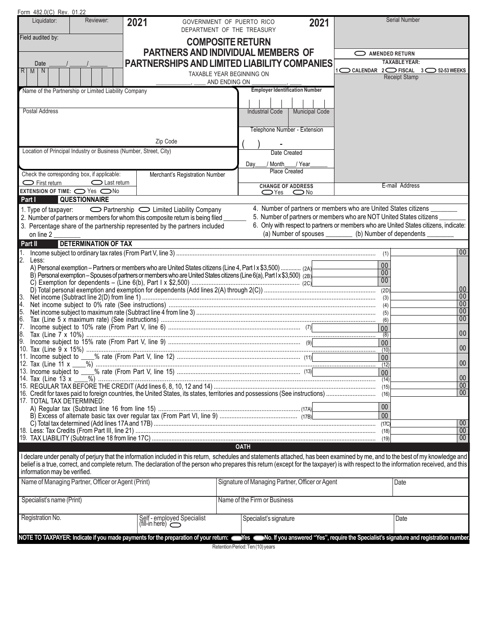| Form 482.0(C) Rev. 01.22                                           |                             |                                                                                                                                                               |                                                                                                                                                                                        |                 |                                         |
|--------------------------------------------------------------------|-----------------------------|---------------------------------------------------------------------------------------------------------------------------------------------------------------|----------------------------------------------------------------------------------------------------------------------------------------------------------------------------------------|-----------------|-----------------------------------------|
| Liquidator:                                                        | Reviewer:                   | 2021                                                                                                                                                          | 2021<br>GOVERNMENT OF PUERTO RICO<br>DEPARTMENT OF THE TREASURY                                                                                                                        |                 | Serial Number                           |
| Field audited by:                                                  |                             |                                                                                                                                                               | <b>COMPOSITE RETURN</b>                                                                                                                                                                |                 |                                         |
|                                                                    |                             |                                                                                                                                                               | <b>PARTNERS AND INDIVIDUAL MEMBERS OF</b>                                                                                                                                              | AMENDED RETURN  |                                         |
| Date                                                               |                             |                                                                                                                                                               | <b>PARTNERSHIPS AND LIMITED LIABILITY COMPANIES</b>                                                                                                                                    |                 | <b>TAXABLE YEAR:</b>                    |
| $\overline{R}$<br>M                                                |                             |                                                                                                                                                               | TAXABLE YEAR BEGINNING ON                                                                                                                                                              |                 | 1 C CALENDAR 2 C FISCAL 3 C 52-53 WEEKS |
|                                                                    |                             |                                                                                                                                                               | AND ENDING ON                                                                                                                                                                          |                 | <b>Receipt Stamp</b>                    |
| Name of the Partnership or Limited Liability Company               |                             |                                                                                                                                                               | <b>Employer Identification Number</b>                                                                                                                                                  |                 |                                         |
|                                                                    |                             |                                                                                                                                                               |                                                                                                                                                                                        |                 |                                         |
| Postal Address                                                     |                             |                                                                                                                                                               | Municipal Code<br><b>Industrial Code</b>                                                                                                                                               |                 |                                         |
|                                                                    |                             |                                                                                                                                                               |                                                                                                                                                                                        |                 |                                         |
|                                                                    |                             |                                                                                                                                                               | Telephone Number - Extension                                                                                                                                                           |                 |                                         |
|                                                                    |                             |                                                                                                                                                               |                                                                                                                                                                                        |                 |                                         |
|                                                                    |                             | Zip Code                                                                                                                                                      |                                                                                                                                                                                        |                 |                                         |
| Location of Principal Industry or Business (Number, Street, City)  |                             |                                                                                                                                                               | Date Created                                                                                                                                                                           |                 |                                         |
|                                                                    |                             |                                                                                                                                                               | Day<br>/ Month / Year                                                                                                                                                                  |                 |                                         |
|                                                                    |                             |                                                                                                                                                               | Place Created                                                                                                                                                                          |                 |                                         |
| Check the corresponding box, if applicable:<br>$\sum$ First return |                             | Merchant's Registration Number                                                                                                                                |                                                                                                                                                                                        |                 |                                         |
| EXTENSION OF TIME: O Yes ONo                                       | $\bigcirc$ Last return      |                                                                                                                                                               | <b>CHANGE OF ADDRESS</b>                                                                                                                                                               |                 | E-mail Address                          |
| Part I<br><b>QUESTIONNAIRE</b>                                     |                             |                                                                                                                                                               | $\bigcirc$ Yes $\bigcirc$ No                                                                                                                                                           |                 |                                         |
|                                                                    |                             |                                                                                                                                                               | 4. Number of partners or members who are United States citizens                                                                                                                        |                 |                                         |
| 1. Type of taxpayer:                                               |                             | ◯ Partnership ◯ Limited Liability Company                                                                                                                     | 5. Number of partners or members who are NOT United States citizens                                                                                                                    |                 |                                         |
|                                                                    |                             | 2. Number of partners or members for whom this composite return is being filed<br>3. Percentage share of the partnership represented by the partners included | 6. Only with respect to partners or members who are United States citizens, indicate:                                                                                                  |                 |                                         |
| on line 2                                                          |                             |                                                                                                                                                               | (a) Number of spouses ________ (b) Number of dependents _                                                                                                                              |                 |                                         |
| Part II                                                            | <b>DETERMINATION OF TAX</b> |                                                                                                                                                               |                                                                                                                                                                                        |                 |                                         |
|                                                                    |                             |                                                                                                                                                               |                                                                                                                                                                                        | (1)             | 00                                      |
| 2.<br>Less:                                                        |                             |                                                                                                                                                               |                                                                                                                                                                                        |                 |                                         |
|                                                                    |                             |                                                                                                                                                               | A) Personal exemption – Partners or members who are United States citizens (Line 4, Part I x \$3,500)  (2A)                                                                            | 00              |                                         |
|                                                                    |                             |                                                                                                                                                               | B) Personal exemption - Spouses of partners or members who are United States citizens (Line 6(a), Part I x \$3,500) (2B)                                                               | 00<br>00        |                                         |
|                                                                    |                             |                                                                                                                                                               |                                                                                                                                                                                        |                 |                                         |
| 3.                                                                 |                             |                                                                                                                                                               |                                                                                                                                                                                        | (2D)            | $00\,$<br>00                            |
| 4.                                                                 |                             |                                                                                                                                                               |                                                                                                                                                                                        |                 | $\overline{00}$                         |
| 5.                                                                 |                             |                                                                                                                                                               |                                                                                                                                                                                        |                 | $\overline{00}$                         |
| 6.                                                                 |                             |                                                                                                                                                               |                                                                                                                                                                                        | (6)             | 00                                      |
| 7.                                                                 |                             |                                                                                                                                                               |                                                                                                                                                                                        | $00\,$          |                                         |
| 19.                                                                |                             |                                                                                                                                                               |                                                                                                                                                                                        | (8)             | $00\,$                                  |
|                                                                    |                             |                                                                                                                                                               |                                                                                                                                                                                        | 00<br>(10)      | $00\,$                                  |
|                                                                    |                             |                                                                                                                                                               |                                                                                                                                                                                        | 00              |                                         |
|                                                                    |                             |                                                                                                                                                               |                                                                                                                                                                                        | (12)            | 00 <sub>1</sub>                         |
|                                                                    |                             |                                                                                                                                                               |                                                                                                                                                                                        | 00              | $00\,$                                  |
|                                                                    |                             |                                                                                                                                                               |                                                                                                                                                                                        | (14)<br>(15)    | $\overline{00}$                         |
|                                                                    |                             |                                                                                                                                                               |                                                                                                                                                                                        | (16)            | 00                                      |
| 17. TOTAL TAX DETERMINED:                                          |                             |                                                                                                                                                               |                                                                                                                                                                                        |                 |                                         |
|                                                                    |                             |                                                                                                                                                               |                                                                                                                                                                                        | $00\,$          |                                         |
|                                                                    |                             |                                                                                                                                                               |                                                                                                                                                                                        | $\overline{00}$ |                                         |
|                                                                    |                             |                                                                                                                                                               |                                                                                                                                                                                        | (17C)<br>(18)   | $00\,$<br>00                            |
|                                                                    |                             |                                                                                                                                                               |                                                                                                                                                                                        | (19)            | 00                                      |
|                                                                    |                             |                                                                                                                                                               | <b>OATH</b>                                                                                                                                                                            |                 |                                         |
|                                                                    |                             |                                                                                                                                                               | I declare under penalty of perjury that the information included in this return, schedules and statements attached, has been examined by me, and to the best of my knowledge and       |                 |                                         |
| information may be verified.                                       |                             |                                                                                                                                                               | belief is a true, correct, and complete return. The declaration of the person who prepares this return (except for the taxpayer) is with respect to the information received, and this |                 |                                         |
| Name of Managing Partner, Officer or Agent (Print)                 |                             |                                                                                                                                                               | Signature of Managing Partner, Officer or Agent                                                                                                                                        |                 | Date                                    |
|                                                                    |                             |                                                                                                                                                               |                                                                                                                                                                                        |                 |                                         |
| Specialist's name (Print)                                          |                             |                                                                                                                                                               | Name of the Firm or Business                                                                                                                                                           |                 |                                         |
| Registration No.                                                   |                             | Self - employed Specialist<br>(fill-in here)<br>                                                                                                              | Specialist's signature                                                                                                                                                                 |                 | Date                                    |
|                                                                    |                             |                                                                                                                                                               |                                                                                                                                                                                        |                 |                                         |
|                                                                    |                             |                                                                                                                                                               | NOTE TO TAXPAYER: Indicate if you made payments for the preparation of your return: Second Mess Concept "Yes", require the Specialist's signature and registration number.             |                 |                                         |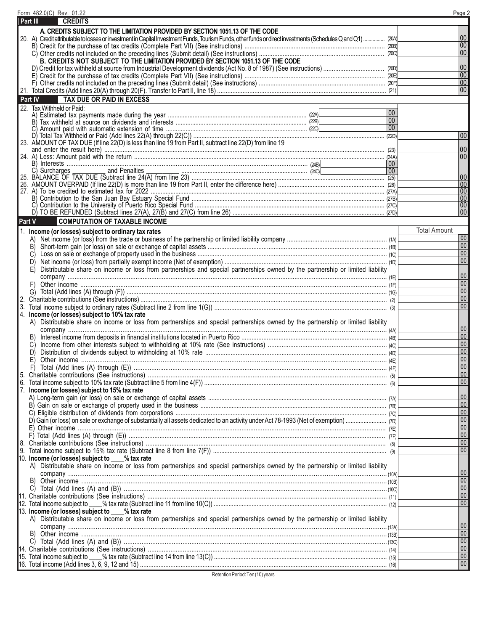|          | Form 482.0(C) Rev. 01.22                                                                                                                                     |                 | Page 2               |
|----------|--------------------------------------------------------------------------------------------------------------------------------------------------------------|-----------------|----------------------|
|          | Part III<br><b>CREDITS</b>                                                                                                                                   |                 |                      |
|          | A. CREDITS SUBJECT TO THE LIMITATION PROVIDED BY SECTION 1051.13 OF THE CODE                                                                                 |                 |                      |
|          | 20. A) Credit attributable to losses or investment in Capital Investment Funds, Tourism Funds, other funds or direct investments (Schedules Q and Q1)  (204) |                 | $00\,$               |
|          |                                                                                                                                                              |                 | 00 <sup>°</sup>      |
|          |                                                                                                                                                              |                 | 00 <sup>°</sup>      |
|          | B. CREDITS NOT SUBJECT TO THE LIMITATION PROVIDED BY SECTION 1051.13 OF THE CODE                                                                             |                 |                      |
|          |                                                                                                                                                              |                 | $00\,$               |
|          |                                                                                                                                                              |                 | $00\,$               |
|          |                                                                                                                                                              |                 | $00\,$               |
|          |                                                                                                                                                              |                 | $00\,$               |
|          | <b>TAX DUE OR PAID IN EXCESS</b><br>Part IV                                                                                                                  |                 |                      |
|          | 22. Tax Withheld or Paid:                                                                                                                                    | $00\,$          |                      |
|          |                                                                                                                                                              | 00 <sup>°</sup> |                      |
|          | C)                                                                                                                                                           | 00              |                      |
|          |                                                                                                                                                              |                 | 00                   |
|          |                                                                                                                                                              |                 |                      |
|          |                                                                                                                                                              |                 | 00                   |
|          |                                                                                                                                                              |                 | 00                   |
|          | C) Surcharges and Penalties                                                                                                                                  | 00              |                      |
|          |                                                                                                                                                              | 00              | $ 00\rangle$         |
|          |                                                                                                                                                              |                 | 00                   |
|          |                                                                                                                                                              |                 | 00                   |
|          |                                                                                                                                                              |                 | 00                   |
|          |                                                                                                                                                              |                 | 00                   |
|          |                                                                                                                                                              |                 | 00                   |
| Part V   | <b>COMPUTATION OF TAXABLE INCOME</b>                                                                                                                         |                 |                      |
|          | 1. Income (or losses) subject to ordinary tax rates                                                                                                          |                 | <b>Total Amount</b>  |
|          |                                                                                                                                                              |                 | 00                   |
|          | B)                                                                                                                                                           |                 | $00\,$               |
|          | C)                                                                                                                                                           |                 | $\overline{00}$      |
|          | D)                                                                                                                                                           |                 | 00 <sup>°</sup>      |
|          | Distributable share on income or loss from partnerships and special partnerships owned by the partnership or limited liability<br>E)                         |                 |                      |
|          |                                                                                                                                                              |                 | $00\,$               |
|          | F)                                                                                                                                                           |                 | $00\,$<br>$\vert$ 00 |
|          | G)                                                                                                                                                           |                 | $00\,$               |
| 2.<br>3. |                                                                                                                                                              |                 | 00                   |
|          | 4. Income (or losses) subject to 10% tax rate                                                                                                                |                 |                      |
|          | A) Distributable share on income or loss from partnerships and special partnerships owned by the partnership or limited liability                            |                 |                      |
|          |                                                                                                                                                              |                 | 00                   |
|          | B)                                                                                                                                                           |                 | $00\,$               |
|          |                                                                                                                                                              |                 | $\vert 00 \vert$     |
|          | D)                                                                                                                                                           |                 | $\overline{00}$      |
|          | E)                                                                                                                                                           |                 | $\overline{00}$      |
|          |                                                                                                                                                              |                 | 00                   |
| 5.       |                                                                                                                                                              |                 | $\overline{00}$      |
| 6.       |                                                                                                                                                              |                 | 00 <sub>1</sub>      |
| 7.       | Income (or losses) subject to 15% tax rate                                                                                                                   |                 |                      |
|          |                                                                                                                                                              |                 | $00\,$<br>$00\,$     |
|          |                                                                                                                                                              |                 | $\overline{00}$      |
|          |                                                                                                                                                              |                 | $00\,$               |
|          |                                                                                                                                                              |                 | $\overline{00}$      |
|          |                                                                                                                                                              |                 | $00\,$               |
|          |                                                                                                                                                              |                 | $\overline{00}$      |
|          |                                                                                                                                                              |                 | $00\,$               |
|          | 10. Income (or losses) subject to ___% tax rate                                                                                                              |                 |                      |
|          | A) Distributable share on income or loss from partnerships and special partnerships owned by the partnership or limited liability                            |                 |                      |
|          |                                                                                                                                                              |                 | 00                   |
|          |                                                                                                                                                              |                 | $00\,$               |
|          |                                                                                                                                                              |                 | $\overline{00}$      |
|          |                                                                                                                                                              |                 | $00\,$               |
|          |                                                                                                                                                              |                 | 00 <sup>°</sup>      |
|          | 13. Income (or losses) subject to ____% tax rate                                                                                                             |                 |                      |
|          | A) Distributable share on income or loss from partnerships and special partnerships owned by the partnership or limited liability                            |                 | $00\,$               |
|          |                                                                                                                                                              |                 | $00\,$               |
|          |                                                                                                                                                              |                 | $00\,$               |
|          |                                                                                                                                                              |                 | $00\,$               |
|          |                                                                                                                                                              |                 | $00\,$               |
|          |                                                                                                                                                              |                 | $00\,$               |

Retention Period: Ten (10) years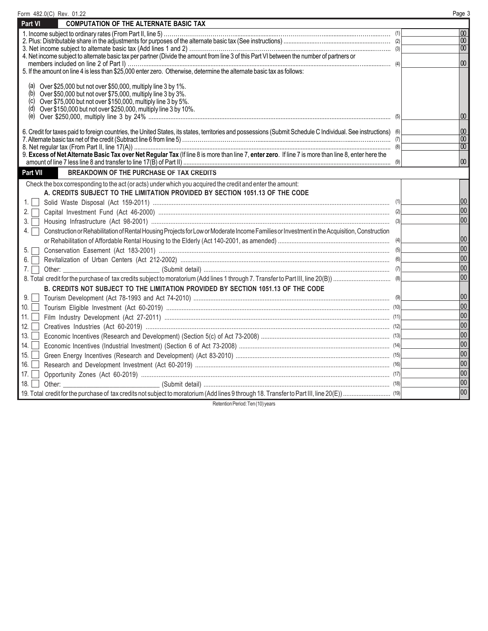| Form 482.0(C) Rev. 01.22                                                                                                                                       | Page 3              |
|----------------------------------------------------------------------------------------------------------------------------------------------------------------|---------------------|
| <b>COMPUTATION OF THE ALTERNATE BASIC TAX</b><br>Part VI                                                                                                       |                     |
|                                                                                                                                                                | 00                  |
|                                                                                                                                                                | 00                  |
|                                                                                                                                                                | $\overline{00}$     |
| 4. Net income subject to alternate basic tax per partner (Divide the amount from line 3 of this Part VI between the number of partners or                      | $\overline{00}$     |
| 5. If the amount on line 4 is less than \$25,000 enter zero. Otherwise, determine the alternate basic tax as follows:                                          |                     |
|                                                                                                                                                                |                     |
| Over \$25,000 but not over \$50,000, multiply line 3 by 1%.<br>(a)                                                                                             |                     |
| (b)<br>Over \$50,000 but not over \$75,000, multiply line 3 by 3%.<br>Over \$75,000 but not over \$150,000, multiply line 3 by 5%.<br>(c)                      |                     |
| (d) Over \$150,000 but not over \$250,000, multiply line 3 by 10%.                                                                                             |                     |
| (e)                                                                                                                                                            | 100                 |
|                                                                                                                                                                |                     |
| 6. Credit for taxes paid to foreign countries, the United States, its states, territories and possessions (Submit Schedule C Individual. See instructions) (6) | $ 00\rangle$<br> 00 |
|                                                                                                                                                                | $\overline{100}$    |
| 9. Excess of Net Alternate Basic Tax over Net Regular Tax (If line 8 is more than line 7, enter zero. If line 7 is more than line 8, enter here the            |                     |
|                                                                                                                                                                | $ 00\rangle$        |
| Part VII<br><b>BREAKDOWN OF THE PURCHASE OF TAX CREDITS</b>                                                                                                    |                     |
| Check the box corresponding to the act (or acts) under which you acquired the credit and enter the amount:                                                     |                     |
| A. CREDITS SUBJECT TO THE LIMITATION PROVIDED BY SECTION 1051.13 OF THE CODE                                                                                   |                     |
| $1.1 -$                                                                                                                                                        | 00                  |
| $2. \Box$                                                                                                                                                      | 00                  |
| 3.                                                                                                                                                             | 00                  |
| Construction or Rehabilitation of Rental Housing Projects for Low or Moderate Income Families or Investment in the Acquisition, Construction<br>4.             |                     |
|                                                                                                                                                                | 00                  |
| 5.                                                                                                                                                             | 00                  |
| 6.                                                                                                                                                             | 00                  |
| 7.                                                                                                                                                             | 00                  |
|                                                                                                                                                                | 00                  |
| B. CREDITS NOT SUBJECT TO THE LIMITATION PROVIDED BY SECTION 1051.13 OF THE CODE                                                                               |                     |
| 9.                                                                                                                                                             | 00                  |
| 10.                                                                                                                                                            | 00                  |
| 11.                                                                                                                                                            | 00                  |
| 12.                                                                                                                                                            | 00                  |
| 13.                                                                                                                                                            | 00                  |
| 14.                                                                                                                                                            | 00                  |
| 15.                                                                                                                                                            | 00                  |
| 16.                                                                                                                                                            | 00                  |
| 17.                                                                                                                                                            | 00                  |
| 18.                                                                                                                                                            | 00                  |
|                                                                                                                                                                | 00                  |
|                                                                                                                                                                |                     |

Retention Period: Ten (10) years